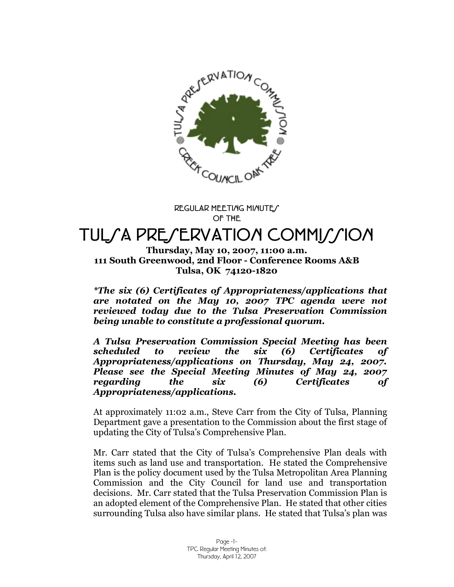

**REGULAR MEETING MINUTES OF THE**

# TUL*SA PRESERVATION COMMISSION*

**Thursday, May 10, 2007, 11:00 a.m. 111 South Greenwood, 2nd Floor - Conference Rooms A&B Tulsa, OK 74120-1820**

*\*The six (6) Certificates of Appropriateness/applications that are notated on the May 10, 2007 TPC agenda were not reviewed today due to the Tulsa Preservation Commission being unable to constitute a professional quorum.*

*A Tulsa Preservation Commission Special Meeting has been scheduled to review the six (6) Certificates of Appropriateness/applications on Thursday, May 24, 2007. Please see the Special Meeting Minutes of May 24, 2007 regarding the six (6) Certificates of Appropriateness/applications.*

At approximately 11:02 a.m., Steve Carr from the City of Tulsa, Planning Department gave a presentation to the Commission about the first stage of updating the City of Tulsa's Comprehensive Plan.

Mr. Carr stated that the City of Tulsa's Comprehensive Plan deals with items such as land use and transportation. He stated the Comprehensive Plan is the policy document used by the Tulsa Metropolitan Area Planning Commission and the City Council for land use and transportation decisions. Mr. Carr stated that the Tulsa Preservation Commission Plan is an adopted element of the Comprehensive Plan. He stated that other cities surrounding Tulsa also have similar plans. He stated that Tulsa's plan was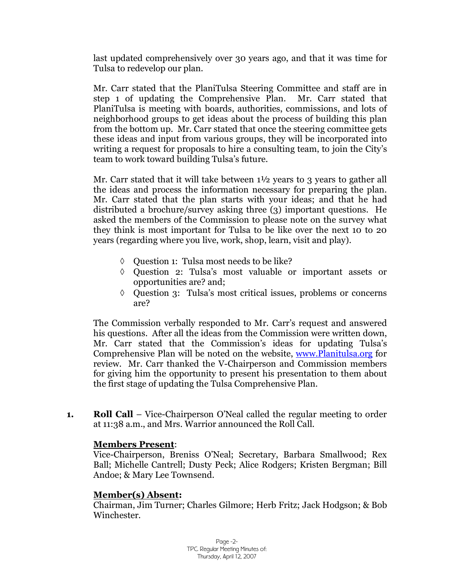last updated comprehensively over 30 years ago, and that it was time for Tulsa to redevelop our plan.

Mr. Carr stated that the PlaniTulsa Steering Committee and staff are in step 1 of updating the Comprehensive Plan. Mr. Carr stated that PlaniTulsa is meeting with boards, authorities, commissions, and lots of neighborhood groups to get ideas about the process of building this plan from the bottom up. Mr. Carr stated that once the steering committee gets these ideas and input from various groups, they will be incorporated into writing a request for proposals to hire a consulting team, to join the City's team to work toward building Tulsa's future.

Mr. Carr stated that it will take between  $1\frac{1}{2}$  years to 3 years to gather all the ideas and process the information necessary for preparing the plan. Mr. Carr stated that the plan starts with your ideas; and that he had distributed a brochure/survey asking three (3) important questions. He asked the members of the Commission to please note on the survey what they think is most important for Tulsa to be like over the next 10 to 20 years (regarding where you live, work, shop, learn, visit and play).

- Question 1: Tulsa most needs to be like?
- Question 2: Tulsa's most valuable or important assets or opportunities are? and;
- Question 3: Tulsa's most critical issues, problems or concerns are?

The Commission verbally responded to Mr. Carr's request and answered his questions. After all the ideas from the Commission were written down, Mr. Carr stated that the Commission's ideas for updating Tulsa's Comprehensive Plan will be noted on the website, www.Planitulsa.org for review. Mr. Carr thanked the V-Chairperson and Commission members for giving him the opportunity to present his presentation to them about the first stage of updating the Tulsa Comprehensive Plan.

**1. Roll Call** – Vice-Chairperson O'Neal called the regular meeting to order at 11:38 a.m., and Mrs. Warrior announced the Roll Call.

#### **Members Present**:

Vice-Chairperson, Breniss O'Neal; Secretary, Barbara Smallwood; Rex Ball; Michelle Cantrell; Dusty Peck; Alice Rodgers; Kristen Bergman; Bill Andoe; & Mary Lee Townsend.

# **Member(s) Absent:**

Chairman, Jim Turner; Charles Gilmore; Herb Fritz; Jack Hodgson; & Bob Winchester.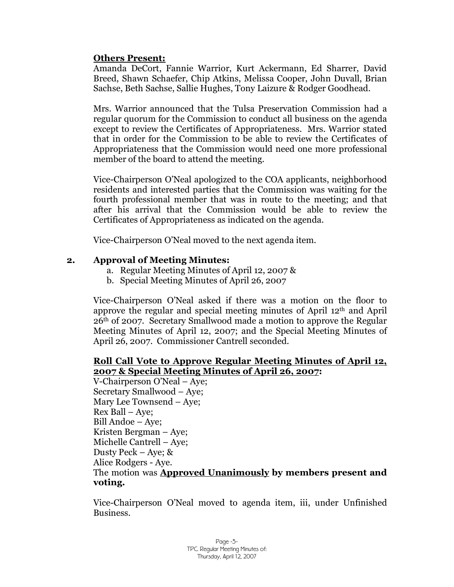#### **Others Present:**

Amanda DeCort, Fannie Warrior, Kurt Ackermann, Ed Sharrer, David Breed, Shawn Schaefer, Chip Atkins, Melissa Cooper, John Duvall, Brian Sachse, Beth Sachse, Sallie Hughes, Tony Laizure & Rodger Goodhead.

Mrs. Warrior announced that the Tulsa Preservation Commission had a regular quorum for the Commission to conduct all business on the agenda except to review the Certificates of Appropriateness. Mrs. Warrior stated that in order for the Commission to be able to review the Certificates of Appropriateness that the Commission would need one more professional member of the board to attend the meeting.

Vice-Chairperson O'Neal apologized to the COA applicants, neighborhood residents and interested parties that the Commission was waiting for the fourth professional member that was in route to the meeting; and that after his arrival that the Commission would be able to review the Certificates of Appropriateness as indicated on the agenda.

Vice-Chairperson O'Neal moved to the next agenda item.

#### **2. Approval of Meeting Minutes:**

- a. Regular Meeting Minutes of April 12, 2007 &
- b. Special Meeting Minutes of April 26, 2007

Vice-Chairperson O'Neal asked if there was a motion on the floor to approve the regular and special meeting minutes of April 12th and April 26th of 2007. Secretary Smallwood made a motion to approve the Regular Meeting Minutes of April 12, 2007; and the Special Meeting Minutes of April 26, 2007. Commissioner Cantrell seconded.

#### **Roll Call Vote to Approve Regular Meeting Minutes of April 12, 2007 & Special Meeting Minutes of April 26, 2007:**

V-Chairperson O'Neal – Aye; Secretary Smallwood – Aye; Mary Lee Townsend – Aye; Rex Ball – Aye; Bill Andoe – Aye; Kristen Bergman – Aye; Michelle Cantrell –Aye; Dusty Peck – Aye; & Alice Rodgers - Aye. The motion was **Approved Unanimously by members present and voting.**

Vice-Chairperson O'Neal moved to agenda item, iii, under Unfinished Business.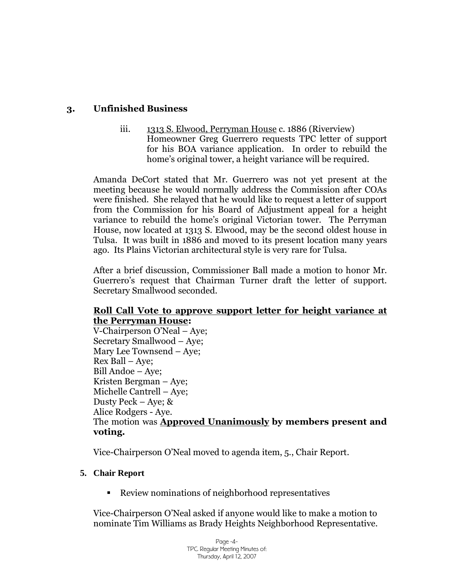# **3. Unfinished Business**

iii. 1313 S. Elwood, Perryman House c. 1886 (Riverview) Homeowner Greg Guerrero requests TPC letter of support for his BOA variance application. In order to rebuild the home's original tower, a height variance will be required.

Amanda DeCort stated that Mr. Guerrero was not yet present at the meeting because he would normally address the Commission after COAs were finished. She relayed that he would like to request a letter of support from the Commission for his Board of Adjustment appeal for a height variance to rebuild the home's original Victorian tower. The Perryman House, now located at 1313 S. Elwood, may be the second oldest house in Tulsa. It was built in 1886 and moved to its present location many years ago. Its Plains Victorian architectural style is very rare for Tulsa.

After a brief discussion, Commissioner Ball made a motion to honor Mr. Guerrero's request that Chairman Turner draft the letter of support. Secretary Smallwood seconded.

#### **Roll Call Vote to approve support letter for height variance at the Perryman House:**

V-Chairperson O'Neal – Aye; Secretary Smallwood – Aye; Mary Lee Townsend – Aye; Rex Ball – Aye; Bill Andoe – Aye; Kristen Bergman – Aye; Michelle Cantrell – Aye; Dusty Peck – Aye; & Alice Rodgers - Aye. The motion was **Approved Unanimously by members present and voting.**

Vice-Chairperson O'Neal moved to agenda item, 5., Chair Report.

#### **5. Chair Report**

Review nominations of neighborhood representatives

Vice-Chairperson O'Neal asked if anyone would like to make a motion to nominate Tim Williams as Brady Heights Neighborhood Representative.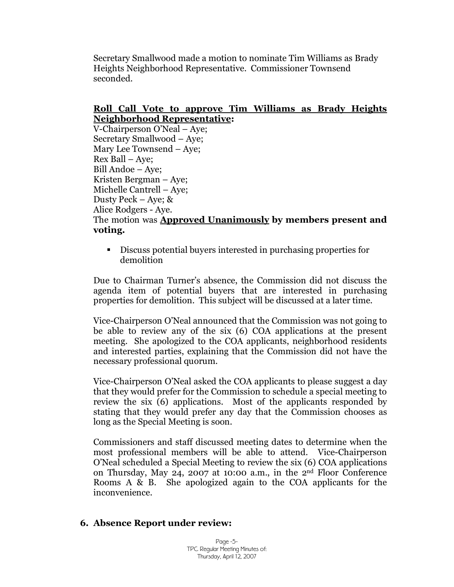Secretary Smallwood made a motion to nominate Tim Williams as Brady Heights Neighborhood Representative. Commissioner Townsend seconded.

### **Roll Call Vote to approve Tim Williams as Brady Heights Neighborhood Representative:**

V-Chairperson O'Neal – Aye; Secretary Smallwood – Aye; Mary Lee Townsend – Aye; Rex Ball – Aye; Bill Andoe – Aye; Kristen Bergman – Aye; Michelle Cantrell – Aye; Dusty Peck – Aye; & Alice Rodgers - Aye. The motion was **Approved Unanimously by members present and voting.**

 Discuss potential buyers interested in purchasing properties for demolition

Due to Chairman Turner's absence, the Commission did not discuss the agenda item of potential buyers that are interested in purchasing properties for demolition. This subject will be discussed at a later time.

Vice-Chairperson O'Neal announced that the Commission was not going to be able to review any of the six (6) COA applications at the present meeting. She apologized to the COA applicants, neighborhood residents and interested parties, explaining that the Commission did not have the necessary professional quorum.

Vice-Chairperson O'Neal asked the COA applicants to please suggest a day that they would prefer for the Commission to schedule a special meeting to review the six (6) applications. Most of the applicants responded by stating that they would prefer any day that the Commission chooses as long as the Special Meeting is soon.

Commissioners and staff discussed meeting dates to determine when the most professional members will be able to attend. Vice-Chairperson O'Neal scheduled a Special Meeting to review the six (6) COA applications on Thursday, May 24, 2007 at 10:00 a.m., in the 2nd Floor Conference Rooms A & B. She apologized again to the COA applicants for the inconvenience.

#### **6. Absence Report under review:**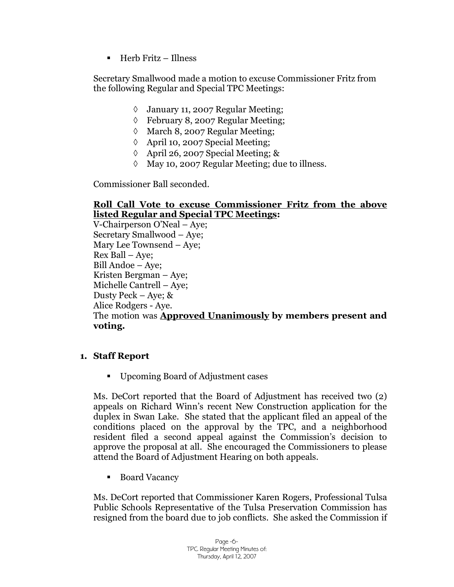Herb Fritz – Illness

Secretary Smallwood made a motion to excuse Commissioner Fritz from the following Regular and Special TPC Meetings:

- January 11, 2007 Regular Meeting;
- February 8, 2007 Regular Meeting;
- $\Diamond$  March 8, 2007 Regular Meeting;
- April 10, 2007 Special Meeting;
- April 26, 2007 Special Meeting; &
- $\Diamond$  May 10, 2007 Regular Meeting; due to illness.

Commissioner Ball seconded.

#### **Roll Call Vote to excuse Commissioner Fritz from the above listed Regular and Special TPC Meetings:**

V-Chairperson O'Neal – Aye; Secretary Smallwood – Aye; Mary Lee Townsend – Aye; Rex Ball – Aye; Bill Andoe – Aye; Kristen Bergman – Aye; Michelle Cantrell – Aye; Dusty Peck – Aye; & Alice Rodgers - Aye. The motion was **Approved Unanimously by members present and voting.**

#### **1. Staff Report**

Upcoming Board of Adjustment cases

Ms. DeCort reported that the Board of Adjustment has received two (2) appeals on Richard Winn's recent New Construction application for the duplex in Swan Lake. She stated that the applicant filed an appeal of the conditions placed on the approval by the TPC, and a neighborhood resident filed a second appeal against the Commission's decision to approve the proposal at all. She encouraged the Commissioners to please attend the Board of Adjustment Hearing on both appeals.

■ Board Vacancy

Ms. DeCort reported that Commissioner Karen Rogers, Professional Tulsa Public Schools Representative of the Tulsa Preservation Commission has resigned from the board due to job conflicts. She asked the Commission if